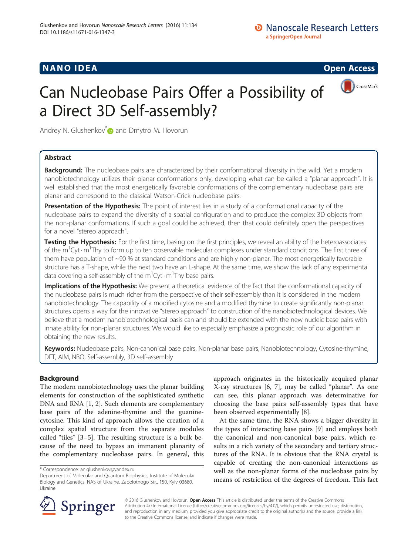## **NANO IDEA** Open Access **Contract Contract Contract Contract Contract Contract Contract Contract Contract Contract Contract Contract Contract Contract Contract Contract Contract Contract Contract Contract Contract Contract**



# Can Nucleobase Pairs Offer a Possibility of a Direct 3D Self-assembly?

Andrey N. Glushenkov<sup>\*</sup> and Dmytro M. Hovorun

## Abstract

**Background:** The nucleobase pairs are characterized by their conformational diversity in the wild. Yet a modern nanobiotechnology utilizes their planar conformations only, developing what can be called a "planar approach". It is well established that the most energetically favorable conformations of the complementary nucleobase pairs are planar and correspond to the classical Watson-Crick nucleobase pairs.

Presentation of the Hypothesis: The point of interest lies in a study of a conformational capacity of the nucleobase pairs to expand the diversity of a spatial configuration and to produce the complex 3D objects from the non-planar conformations. If such a goal could be achieved, then that could definitely open the perspectives for a novel "stereo approach".

Testing the Hypothesis: For the first time, basing on the first principles, we reveal an ability of the heteroassociates of the m<sup>1</sup>Cyt · m<sup>1</sup>Thy to form up to ten observable molecular complexes under standard conditions. The first three of them have population of ~90 % at standard conditions and are highly non-planar. The most energetically favorable structure has a T-shape, while the next two have an L-shape. At the same time, we show the lack of any experimental data covering a self-assembly of the m<sup>1</sup>Cyt  $\cdot$  m<sup>1</sup>Thy base pairs.

Implications of the Hypothesis: We present a theoretical evidence of the fact that the conformational capacity of the nucleobase pairs is much richer from the perspective of their self-assembly than it is considered in the modern nanobiotechnology. The capability of a modified cytosine and a modified thymine to create significantly non-planar structures opens a way for the innovative "stereo approach" to construction of the nanobiotechnological devices. We believe that a modern nanobiotechnological basis can and should be extended with the new nucleic base pairs with innate ability for non-planar structures. We would like to especially emphasize a prognostic role of our algorithm in obtaining the new results.

Keywords: Nucleobase pairs, Non-canonical base pairs, Non-planar base pairs, Nanobiotechnology, Cytosine-thymine, DFT, AIM, NBO, Self-assembly, 3D self-assembly

### Background

The modern nanobiotechnology uses the planar building elements for construction of the sophisticated synthetic DNA and RNA [[1, 2\]](#page-5-0). Such elements are complementary base pairs of the adenine-thymine and the guaninecytosine. This kind of approach allows the creation of a complex spatial structure from the separate modules called "tiles" [\[3](#page-5-0)–[5\]](#page-5-0). The resulting structure is a bulk because of the need to bypass an immanent planarity of the complementary nucleobase pairs. In general, this

approach originates in the historically acquired planar X-ray structures [[6, 7](#page-5-0)], may be called "planar". As one can see, this planar approach was determinative for choosing the base pairs self-assembly types that have been observed experimentally [[8\]](#page-5-0).

At the same time, the RNA shows a bigger diversity in the types of interacting base pairs [\[9](#page-5-0)] and employs both the canonical and non-canonical base pairs, which results in a rich variety of the secondary and tertiary structures of the RNA. It is obvious that the RNA crystal is capable of creating the non-canonical interactions as well as the non-planar forms of the nucleobase pairs by means of restriction of the degrees of freedom. This fact



© 2016 Glushenkov and Hovorun. Open Access This article is distributed under the terms of the Creative Commons Attribution 4.0 International License ([http://creativecommons.org/licenses/by/4.0/\)](http://creativecommons.org/licenses/by/4.0/), which permits unrestricted use, distribution, and reproduction in any medium, provided you give appropriate credit to the original author(s) and the source, provide a link to the Creative Commons license, and indicate if changes were made.

<sup>\*</sup> Correspondence: [an.glushenkov@yandex.ru](mailto:an.glushenkov@yandex.ru)

Department of Molecular and Quantum Biophysics, Institute of Molecular Biology and Genetics, NAS of Ukraine, Zabolotnogo Str., 150, Kyiv 03680, Ukraine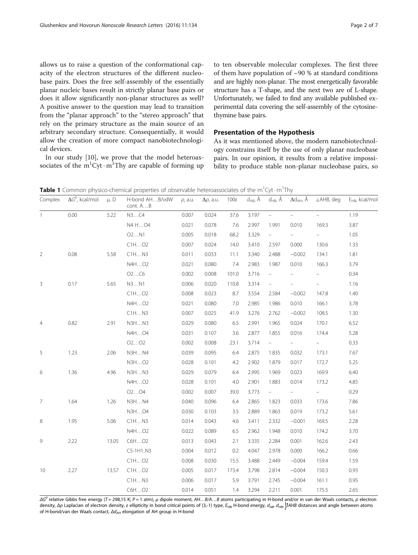<span id="page-1-0"></span>allows us to raise a question of the conformational capacity of the electron structures of the different nucleobase pairs. Does the free self-assembly of the essentially planar nucleic bases result in strictly planar base pairs or does it allow significantly non-planar structures as well? A positive answer to the question may lead to transition from the "planar approach" to the "stereo approach" that rely on the primary structure as the main source of an arbitrary secondary structure. Consequentially, it would allow the creation of more compact nanobiotechnological devices.

In our study [[10](#page-5-0)], we prove that the model heteroassociates of the  $m^1$ Cyt $\cdot$ m<sup>1</sup>Thy are capable of forming up

to ten observable molecular complexes. The first three of them have population of  $\sim$ 90 % at standard conditions and are highly non-planar. The most energetically favorable structure has a T-shape, and the next two are of L-shape. Unfortunately, we failed to find any available published experimental data covering the self-assembly of the cytosinethymine base pairs.

#### Presentation of the Hypothesis

As it was mentioned above, the modern nanobiotechnology constrains itself by the use of only planar nucleobase pairs. In our opinion, it results from a relative impossibility to produce stable non-planar nucleobase pairs, so

|  | Complex $\Delta G^0$ , kcal/mol $\mu$ , D H-bond AHB/vdW $\rho$ , a.u. $\Delta \rho$ , a.u. 100 $\varepsilon$ $d_{AB}$ , Å $d_{HB}$ , Å $\Delta d_{AH}$ , Å $\angle$ AHB, deg $E_{HB}$ , kcal/mo |  |  |  |  |
|--|--------------------------------------------------------------------------------------------------------------------------------------------------------------------------------------------------|--|--|--|--|

Table 1 Common physico-chemical properties of observable heteroassociates of the m<sup>1</sup>Cyt · m<sup>1</sup>Thy

| COLLINGY       | $\Delta$ G, KCAI/IIIOI | μ, υ  | $11-10011Q$ AT 1 D/ YUVV<br>cont. AB | <i>μ</i> , a.u. | Δμ, α.u. | <b>I UUC</b> | $u_{AB}$ , A | $u_{HB}$ , A             | $\Delta u_{AH}$ , A      | <i>L</i> AI ID, UEY | FHB' veall linni |
|----------------|------------------------|-------|--------------------------------------|-----------------|----------|--------------|--------------|--------------------------|--------------------------|---------------------|------------------|
| $\mathbf{1}$   | 0.00                   | 5.22  | N3C4                                 | 0.007           | 0.024    | 37.6         | 3.197        | $\equiv$                 |                          | $\equiv$            | 1.19             |
|                |                        |       | N4 HO4                               | 0.021           | 0.078    | 7.6          | 2.997        | 1.991                    | 0.010                    | 169.3               | 3.87             |
|                |                        |       | O2N1                                 | 0.005           | 0.018    | 68.2         | 3.329        | $\equiv$                 | $\equiv$                 | $\equiv$            | 1.05             |
|                |                        |       | CH. 02                               | 0.007           | 0.024    | 14.0         | 3.410        | 2.597                    | 0.000                    | 130.6               | 1.33             |
| $\overline{2}$ | 0.08                   | 5.58  | CHN3                                 | 0.011           | 0.033    | 11.1         | 3.340        | 2.488                    | $-0.002$                 | 134.1               | 1.81             |
|                |                        |       | N4HO2                                | 0.021           | 0.080    | 7.4          | 2.983        | 1.987                    | 0.010                    | 166.3               | 3.79             |
|                |                        |       | O2C6                                 | 0.002           | 0.008    | 101.0        | 3.716        | $\equiv$                 | $\overline{\phantom{a}}$ | $\sim$              | 0.34             |
| 3              | 0.17                   | 5.65  | N3N1                                 | 0.006           | 0.020    | 110.8        | 3.314        | $\overline{\phantom{0}}$ |                          | -                   | 1.16             |
|                |                        |       | CHHO2                                | 0.008           | 0.023    | 8.7          | 3.554        | 2.584                    | $-0.002$                 | 147.8               | 1.40             |
|                |                        |       | N4HO2                                | 0.021           | 0.080    | 7.0          | 2.985        | 1.986                    | 0.010                    | 166.1               | 3.78             |
|                |                        |       | CHN3                                 | 0.007           | 0.025    | 41.9         | 3.276        | 2.762                    | $-0.002$                 | 108.5               | 1.30             |
| 4              | 0.82                   | 2.91  | N3HN3                                | 0.029           | 0.080    | 6.5          | 2.991        | 1.965                    | 0.024                    | 170.1               | 6.52             |
|                |                        |       | N4HO4                                | 0.031           | 0.107    | 3.6          | 2.877        | 1.855                    | 0.016                    | 174.4               | 5.28             |
|                |                        |       | O2O2                                 | 0.002           | 0.008    | 23.1         | 3.714        | $\equiv$                 | $\frac{1}{2}$            | $\frac{1}{2}$       | 0.33             |
| 5              | 1.23                   | 2.06  | N3HN4                                | 0.039           | 0.095    | 6.4          | 2.875        | 1.835                    | 0.032                    | 173.1               | 7.67             |
|                |                        |       | N3HO2                                | 0.028           | 0.101    | 4.2          | 2.902        | 1.879                    | 0.017                    | 172.7               | 5.25             |
| 6              | 1.36                   | 4.96  | N3HN3                                | 0.029           | 0.079    | 6.4          | 2.995        | 1.969                    | 0.023                    | 169.9               | 6.40             |
|                |                        |       | N4HO2                                | 0.028           | 0.101    | 4.0          | 2.901        | 1.883                    | 0.014                    | 173.2               | 4.85             |
|                |                        |       | O2O4                                 | 0.002           | 0.007    | 39.0         | 3.773        | $\equiv$                 | $\frac{1}{2}$            | $\omega_{\rm{max}}$ | 0.29             |
| $\overline{7}$ | 1.64                   | 1.26  | N3HN4                                | 0.040           | 0.096    | 6.4          | 2.865        | 1.823                    | 0.033                    | 173.6               | 7.86             |
|                |                        |       | N3HO4                                | 0.030           | 0.103    | 3.5          | 2.889        | 1.863                    | 0.019                    | 173.2               | 5.61             |
| 8              | 1.95                   | 5.06  | CHN3                                 | 0.014           | 0.043    | 4.6          | 3.411        | 2.332                    | $-0.001$                 | 169.5               | 2.28             |
|                |                        |       | N4HO2                                | 0.022           | 0.089    | 6.5          | 2.962        | 1.948                    | 0.010                    | 174.2               | 3.70             |
| 9              | 2.22                   | 13.05 | C6HO2                                | 0.013           | 0.043    | 2.1          | 3.335        | 2.284                    | 0.001                    | 162.6               | 2.43             |
|                |                        |       | C5-1H1N3                             | 0.004           | 0.012    | 0.2          | 4.047        | 2.978                    | 0.000                    | 166.2               | 0.66             |
|                |                        |       | CHHO2                                | 0.008           | 0.030    | 15.5         | 3.488        | 2.449                    | $-0.004$                 | 159.4               | 1.59             |
| 10             | 2.27                   | 13.57 | CHHO2                                | 0.005           | 0.017    | 173.4        | 3.798        | 2.814                    | $-0.004$                 | 150.3               | 0.93             |
|                |                        |       | CH. N3                               | 0.006           | 0.017    | 5.9          | 3.791        | 2.745                    | $-0.004$                 | 161.1               | 0.95             |
|                |                        |       | C6HO2                                | 0.014           | 0.051    | 1.4          | 3.294        | 2.211                    | 0.001                    | 175.5               | 2.65             |

 $ΔG<sup>o</sup>$  relative Gibbs free energy (T = 298,15 K; P = 1 atm), μ dipole moment, AH...B/A...B atoms participating in H-bond and/or in van der Waals contacts, ρ electron density, Δρ Laplacian of electron density, ε ellipticity in bond critical points of (3,-1) type,  $E_{HB}$  H-bond energy,  $d_{AB}$ ,  $d_{HB}$ ,  $\hat{A}$ AHB distances and angle between atoms of H-bond/van der Waals contact, Δd<sub>AH</sub> elongation of AH group in H-bond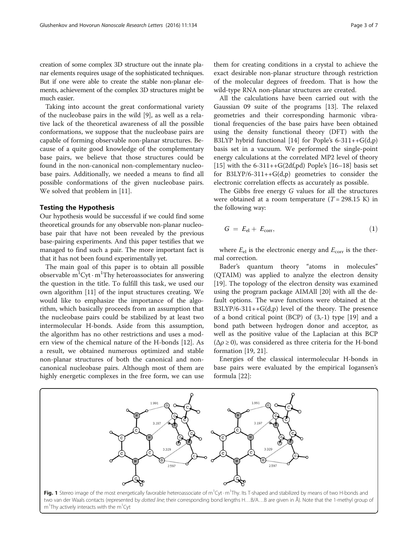<span id="page-2-0"></span>creation of some complex 3D structure out the innate planar elements requires usage of the sophisticated techniques. But if one were able to create the stable non-planar elements, achievement of the complex 3D structures might be much easier.

Taking into account the great conformational variety of the nucleobase pairs in the wild [\[9](#page-5-0)], as well as a relative lack of the theoretical awareness of all the possible conformations, we suppose that the nucleobase pairs are capable of forming observable non-planar structures. Because of a quite good knowledge of the complementary base pairs, we believe that those structures could be found in the non-canonical non-complementary nucleobase pairs. Additionally, we needed a means to find all possible conformations of the given nucleobase pairs. We solved that problem in [[11\]](#page-5-0).

#### Testing the Hypothesis

Our hypothesis would be successful if we could find some theoretical grounds for any observable non-planar nucleobase pair that have not been revealed by the previous base-pairing experiments. And this paper testifies that we managed to find such a pair. The more important fact is that it has not been found experimentally yet.

The main goal of this paper is to obtain all possible observable  $m^1$ Cyt $\cdot$ m<sup>1</sup>Thy heteroassociates for answering the question in the title. To fulfill this task, we used our own algorithm [[11\]](#page-5-0) of the input structures creating. We would like to emphasize the importance of the algorithm, which basically proceeds from an assumption that the nucleobase pairs could be stabilized by at least two intermolecular H-bonds. Aside from this assumption, the algorithm has no other restrictions and uses a modern view of the chemical nature of the H-bonds [\[12](#page-5-0)]. As a result, we obtained numerous optimized and stable non-planar structures of both the canonical and noncanonical nucleobase pairs. Although most of them are highly energetic complexes in the free form, we can use

them for creating conditions in a crystal to achieve the exact desirable non-planar structure through restriction of the molecular degrees of freedom. That is how the wild-type RNA non-planar structures are created.

All the calculations have been carried out with the Gaussian 09 suite of the programs [[13\]](#page-5-0). The relaxed geometries and their corresponding harmonic vibrational frequencies of the base pairs have been obtained using the density functional theory (DFT) with the B3LYP hybrid functional [[14\]](#page-5-0) for Pople's  $6-311++G(d,p)$ basis set in a vacuum. We performed the single-point energy calculations at the correlated MP2 level of theory [[15\]](#page-5-0) with the  $6-311++G(2df,pd)$  Pople's [\[16](#page-5-0)–[18\]](#page-6-0) basis set for  $B3LYP/6-311++G(d,p)$  geometries to consider the electronic correlation effects as accurately as possible.

The Gibbs free energy G values for all the structures were obtained at a room temperature  $(T = 298.15 \text{ K})$  in the following way:

$$
G = E_{\rm el} + E_{\rm corr}, \tag{1}
$$

where  $E_{el}$  is the electronic energy and  $E_{corr}$  is the thermal correction.

Bader's quantum theory "atoms in molecules" (QTAIM) was applied to analyze the electron density [[19\]](#page-6-0). The topology of the electron density was examined using the program package AIMAll [[20](#page-6-0)] with all the default options. The wave functions were obtained at the  $B3LYP/6-311++G(d,p)$  level of the theory. The presence of a bond critical point (BCP) of (3,-1) type [\[19\]](#page-6-0) and a bond path between hydrogen donor and acceptor, as well as the positive value of the Laplacian at this BCP  $(\Delta \rho \ge 0)$ , was considered as three criteria for the H-bond formation [\[19](#page-6-0), [21](#page-6-0)].

Energies of the classical intermolecular H-bonds in base pairs were evaluated by the empirical Iogansen's formula [[22\]](#page-6-0):

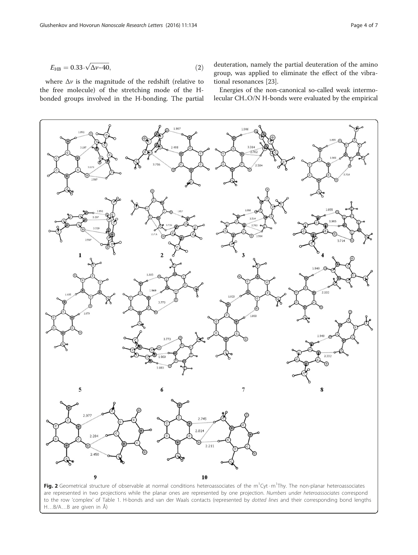<span id="page-3-0"></span>
$$
E_{\rm HB} = 0.33 \cdot \sqrt{\Delta \nu - 40},\tag{2}
$$

where  $\Delta v$  is the magnitude of the redshift (relative to the free molecule) of the stretching mode of the Hbonded groups involved in the H-bonding. The partial deuteration, namely the partial deuteration of the amino group, was applied to eliminate the effect of the vibrational resonances [[23\]](#page-6-0).

Energies of the non-canonical so-called weak intermolecular CH..O/N H-bonds were evaluated by the empirical



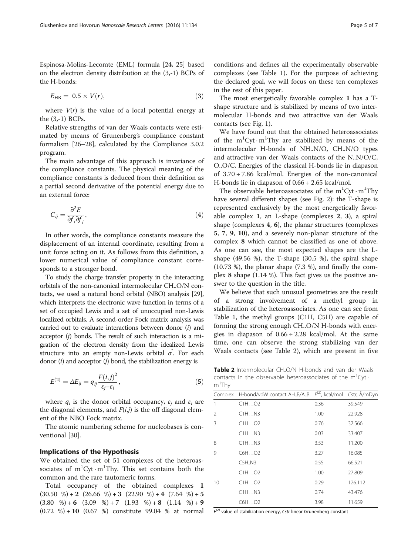$$
E_{\rm HB} = 0.5 \times V(r), \tag{3}
$$

where  $V(r)$  is the value of a local potential energy at the (3,-1) BCPs.

Relative strengths of van der Waals contacts were estimated by means of Grunenberg's compliance constant formalism [[26](#page-6-0)–[28](#page-6-0)], calculated by the Compliance 3.0.2 program.

The main advantage of this approach is invariance of the compliance constants. The physical meaning of the compliance constants is deduced from their definition as a partial second derivative of the potential energy due to an external force:

$$
C_{ij} = \frac{\partial^2 E}{\partial f_i \partial f_j},\tag{4}
$$

In other words, the compliance constants measure the displacement of an internal coordinate, resulting from a unit force acting on it. As follows from this definition, a lower numerical value of compliance constant corresponds to a stronger bond.

To study the charge transfer property in the interacting orbitals of the non-canonical intermolecular CH..O/N contacts, we used a natural bond orbital (NBO) analysis [\[29](#page-6-0)], which interprets the electronic wave function in terms of a set of occupied Lewis and a set of unoccupied non-Lewis localized orbitals. A second-order Fock matrix analysis was carried out to evaluate interactions between donor (i) and acceptor (j) bonds. The result of such interaction is a migration of the electron density from the idealized Lewis structure into an empty non-Lewis orbital  $\sigma$ . For each donor  $(i)$  and acceptor  $(j)$  bond, the stabilization energy is

$$
E^{(2)} = \Delta E_{ij} = q_{ij} \frac{F(i,j)^2}{\varepsilon_j - \varepsilon_i},
$$
\n(5)

where  $q_i$  is the donor orbital occupancy,  $\varepsilon_i$  and  $\varepsilon_i$  are the diagonal elements, and  $F(i,j)$  is the off diagonal element of the NBO Fock matrix.

The atomic numbering scheme for nucleobases is conventional [\[30](#page-6-0)].

#### Implications of the Hypothesis

We obtained the set of 51 complexes of the heteroassociates of  $m^1$ Cyt $\cdot$ m<sup>1</sup>Thy. This set contains both the common and the rare tautomeric forms.

Total occupancy of the obtained complexes 1  $(30.50 \%) + 2 (26.66 \%) + 3 (22.90 \%) + 4 (7.64 \%) + 5$  $(3.80 \quad \%) + 6 \quad (3.09 \quad \%) + 7 \quad (1.93 \quad \%) + 8 \quad (1.14 \quad \%) + 9$  $(0.72 \, \%) + 10 \, (0.67 \, \%)$  constitute 99.04 % at normal conditions and defines all the experimentally observable complexes (see Table [1\)](#page-1-0). For the purpose of achieving the declared goal, we will focus on these ten complexes in the rest of this paper.

The most energetically favorable complex 1 has a Tshape structure and is stabilized by means of two intermolecular H-bonds and two attractive van der Waals contacts (see Fig. [1\)](#page-2-0).

We have found out that the obtained heteroassociates of the  $m^1$ Cyt $\cdot$ m<sup>1</sup>Thy are stabilized by means of the intermolecular H-bonds of NH..N/O, CH..N/O types and attractive van der Waals contacts of the N..N/O/C, O..O/C. Energies of the classical H-bonds lie in diapason of  $3.70 \div 7.86$  kcal/mol. Energies of the non-canonical H-bonds lie in diapason of  $0.66 \div 2.65$  kcal/mol.

The observable heteroassociates of the  $m^1$ Cyt $\cdot$ m<sup>1</sup>Thy have several different shapes (see Fig. [2](#page-3-0)): the T-shape is represented exclusively by the most energetically favorable complex 1, an L-shape (complexes 2, 3), a spiral shape (complexes 4, 6), the planar structures (complexes 5, 7, 9, 10), and a severely non-planar structure of the complex 8 which cannot be classified as one of above. As one can see, the most expected shapes are the Lshape (49.56 %), the T-shape (30.5 %), the spiral shape (10.73 %), the planar shape (7.3 %), and finally the complex 8 shape (1.14 %). This fact gives us the positive answer to the question in the title.

We believe that such unusual geometries are the result of a strong involvement of a methyl group in stabilization of the heteroassociates. As one can see from Table [1,](#page-1-0) the methyl groups (C1H, C5H) are capable of forming the strong enough CH..O/N H-bonds with energies in diapason of  $0.66 \div 2.28$  kcal/mol. At the same time, one can observe the strong stabilizing van der Waals contacts (see Table 2), which are present in five

Table 2 Intermolecular CH..O/N H-bonds and van der Waals contacts in the observable heteroassociates of the  $m^1$ Cyt m1 Thy

| Complex      | H-bond/vdW contact AHB/AB | $E^{(2)}$ , kcal/mol Cstr, Å/mDyn |         |
|--------------|---------------------------|-----------------------------------|---------|
| 1            | CHO2                      | 0.36                              | 39.549  |
| 2            | CHN3                      | 1.00                              | 22.928  |
| 3            | CHHO2                     | 0.76                              | 37.566  |
|              | CHN3                      | 0.03                              | 33.407  |
| 8            | CHN3                      | 3.53                              | 11.200  |
| $\mathsf{Q}$ | C6HO2                     | 3.27                              | 16.085  |
|              | C5H.N3                    | 0.55                              | 66.521  |
|              | CHO2                      | 1.00                              | 27.809  |
| 10           | CHO2                      | 0.29                              | 126.112 |
|              | CHN3                      | 0.74                              | 43.476  |
|              | C6HO2                     | 3.98                              | 11.659  |

 $E^{(2)}$  value of stabilization energy, Cstr linear Grunenberg constant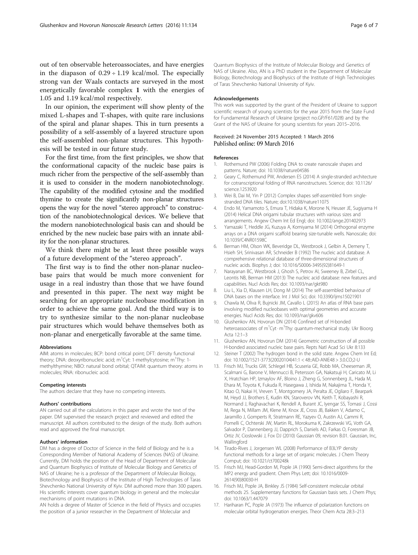<span id="page-5-0"></span>out of ten observable heteroassociates, and have energies in the diapason of  $0.29 \div 1.19$  kcal/mol. The especially strong van der Waals contacts are surveyed in the most energetically favorable complex 1 with the energies of 1.05 and 1.19 kcal/mol respectively.

In our opinion, the experiment will show plenty of the mixed L-shapes and T-shapes, with quite rare inclusions of the spiral and planar shapes. This in turn presents a possibility of a self-assembly of a layered structure upon the self-assembled non-planar structures. This hypothesis will be tested in our future study.

For the first time, from the first principles, we show that the conformational capacity of the nucleic base pairs is much richer from the perspective of the self-assembly than it is used to consider in the modern nanobiotechnology. The capability of the modified cytosine and the modified thymine to create the significantly non-planar structures opens the way for the novel "stereo approach" to construction of the nanobiotechnological devices. We believe that the modern nanobiotechnological basis can and should be enriched by the new nucleic base pairs with an innate ability for the non-planar structures.

We think there might be at least three possible ways of a future development of the "stereo approach".

The first way is to find the other non-planar nucleobase pairs that would be much more convenient for usage in a real industry than those that we have found and presented in this paper. The next way might be searching for an appropriate nucleobase modification in order to achieve the same goal. And the third way is to try to synthesize similar to the non-planar nucleobase pair structures which would behave themselves both as non-planar and energetically favorable at the same time.

#### Abbreviations

AIM: atoms in molecules; BCP: bond critical point; DFT: density functional theory; DNA: deoxyribonucleic acid; m<sup>1</sup>Cyt: 1-methylcytosine; m<sup>1</sup>Thy: 1methylthymine; NBO: natural bond orbital; QTAIM: quantum theory: atoms in molecules; RNA: ribonucleic acid.

#### Competing interests

The authors declare that they have no competing interests.

#### Authors' contributions

AN carried out all the calculations in this paper and wrote the text of the paper. DM supervised the research project and reviewed and edited the manuscript. All authors contributed to the design of the study. Both authors read and approved the final manuscript.

#### Authors' information

DM has a degree of Doctor of Science in the field of Biology and he is a Corresponding Member of National Academy of Sciences (NAS) of Ukraine. Currently, DM holds the position of the Head of Department of Molecular and Quantum Biophysics of Institute of Molecular Biology and Genetics of NAS of Ukraine; he is a professor of the Department of Molecular Biology, Biotechnology and Biophysics of the Institute of High Technologies of Taras Shevchenko National University of Kyiv. DM authored more than 300 papers. His scientific interests cover quantum biology in general and the molecular mechanisms of point mutations in DNA.

AN holds a degree of Master of Science in the field of Physics and occupies the position of a junior researcher in the Department of Molecular and

Quantum Biophysics of the Institute of Molecular Biology and Genetics of NAS of Ukraine. Also, AN is a PhD student in the Department of Molecular Biology, Biotechnology and Biophysics of the Institute of High Technologies of Taras Shevchenko National University of Kyiv.

#### Acknowledgements

This work was supported by the grant of the President of Ukraine to support scientific research of young scientists for the year 2015 from the State Fund for Fundamental Research of Ukraine (project no.GP/F61/028) and by the Grant of the NAS of Ukraine for young scientists for years 2015–2016.

## Received: 24 November 2015 Accepted: 1 March 2016

#### References

- 1. Rothemund PW (2006) Folding DNA to create nanoscale shapes and patterns. Nature; doi: 10.1038/nature04586
- 2. Geary C, Rothemund PW, Andersen ES (2014) A single-stranded architecture for cotranscriptional folding of RNA nanostructures. Science; doi: 10.1126/ science.1253920
- 3. Wei B, Dai M, Yin P (2012) Complex shapes self-assembled from singlestranded DNA tiles. Nature; doi:10.1038/nature11075
- 4. Endo M, Yamamoto S, Emura T, Hidaka K, Morone N, Heuser JE, Sugiyama H (2014) Helical DNA origami tubular structures with various sizes and arrangements. Angew Chem Int Ed Engl; doi: 10.1002/ange.201402973
- 5. Yamazaki T, Heddle JG, Kuzuya A, Komiyama M (2014) Orthogonal enzyme arrays on a DNA origami scaffold bearing size-tunable wells. Nanoscale; doi: 10.1039/C4NR01598C
- 6. Berman HM, Olson WK, Beveridge DL, Westbrook J, Gelbin A, Demeny T, Hsieh SH, Srinivasan AR, Schneider B (1992) The nucleic acid database. A comprehensive relational database of three-dimensional structures of nucleic acids. Biophys J; doi: 10.1016/S0006-3495(92)81649-1
- 7. Narayanan BC, Westbrook J, Ghosh S, Petrov AI, Sweeney B, Zirbel CL, Leontis NB, Berman HM (2013) The nucleic acid database: new features and capabilities. Nucl Acids Res; doi: 10.1093/nar/gkt980
- 8. Liu L, Xia D, Klausen LH, Dong M (2014) The self-assembled behaviour of DNA bases on the interface. Int J Mol Sci; doi: 10.3390/ijms15021901
- 9. Chawla M, Oliva R, Bujnicki JM, Cavallo L (2015) An atlas of RNA base pairs involving modified nucleobases with optimal geometries and accurate energies. Nucl Acids Res; doi: 10.1093/nar/gkv606
- 10. Glushenkov AN, Hovorun DN (2014) Confined set of H-bonded heteroassociates of m<sup>1</sup>Cyt · m<sup>1</sup>Thy: quantum-mechanical study. Ukr Bioorg Acta 12:1–3
- 11. Glushenkov AN, Hovorun DM (2014) Geometric construction of all possible H-bonded associated nucleic base pairs. Repts Natl Acad Sci Ukr 8:133
- 12. Steiner T (2002) The hydrogen bond in the solid state. Angew Chem Int Ed; doi: 10.1002/1521-3773(20020104)41:1 < 48::AID-ANIE48 > 3.0.CO;2-U
- 13. Frisch MJ, Trucks GW, Schlegel HB, Scuseria GE, Robb MA, Cheeseman JR, Scalmani G, Barone V, Mennucci B, Petersson GA, Nakatsuji H, Caricato M, Li X, Hratchian HP, Izmaylov AF, Bloino J, Zheng G, Sonnenberg JL, Hada M, Ehara M, Toyota K, Fukuda R, Hasegawa J, Ishida M, Nakajima T, Honda Y, Kitao O, Nakai H, Vreven T, Montgomery JA, Peralta JE, Ogliaro F, Bearpark M, Heyd JJ, Brothers E, Kudin KN, Staroverov VN, Keith T, Kobayashi R, Normand J, Raghavachari K, Rendell A, Burant JC, Iyengar SS, Tomasi J, Cossi M, Rega N, Millam JM, Klene M, Knox JE, Cross JB, Bakken V, Adamo C, Jaramillo J, Gomperts R, Stratmann RE, Yazyev O, Austin AJ, Cammi R, Pomelli C, Ochterski JW, Martin RL, Morokuma K, Zakrzewski VG, Voth GA, Salvador P, Dannenberg JJ, Dapprich S, Daniels AD, Farkas O, Foresman JB, Ortiz JV, Cioslowski J, Fox DJ (2010) Gaussian 09, revision B.01. Gaussian, Inc, Wallingford
- 14. Tirado-Rives J, Jorgensen WL (2008) Performance of B3LYP density functional methods for a large set of organic molecules. J Chem Theory Comput; doi: 10.1021/ct700248k
- 15. Frisch MJ, Head-Gordon M, Pople JA (1990) Semi-direct algorithms for the MP2 energy and gradient. Chem Phys Lett; doi: 10.1016/0009- 2614(90)80030-H
- 16. Frisch MJ, Pople JA, Binkley JS (1984) Self-consistent molecular orbital methods 25. Supplementary functions for Gaussian basis sets. J Chem Phys; doi: 10.1063/1.447079
- 17. Hariharan PC, Pople JA (1973) The influence of polarization functions on molecular orbital hydrogenation energies. Theor Chem Acta 28:3–213